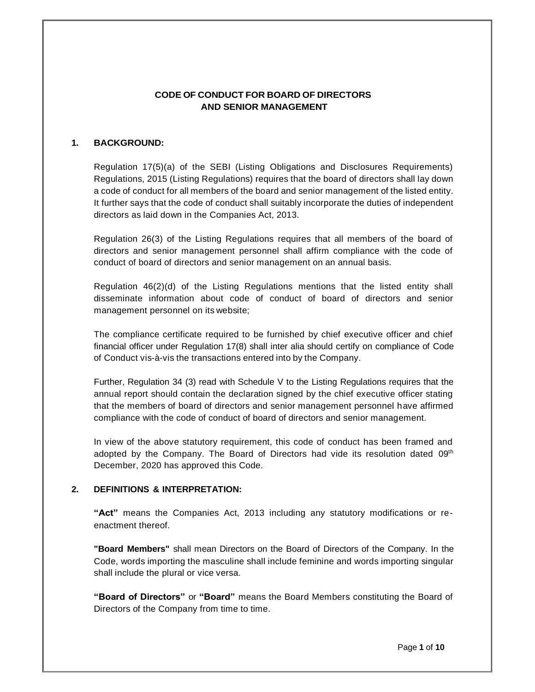### **CODE OF CONDUCT FOR BOARD OF DIRECTORS AND SENIOR MANAGEMENT**

### **1. BACKGROUND:**

Regulation 17(5)(a) of the SEBI (Listing Obligations and Disclosures Requirements) Regulations, 2015 (Listing Regulations) requires that the board of directors shall lay down a code of conduct for all members of the board and senior management of the listed entity. It further says that the code of conduct shall suitably incorporate the duties of independent directors as laid down in the Companies Act, 2013.

Regulation 26(3) of the Listing Regulations requires that all members of the board of directors and senior management personnel shall affirm compliance with the code of conduct of board of directors and senior management on an annual basis.

Regulation 46(2)(d) of the Listing Regulations mentions that the listed entity shall disseminate information about code of conduct of board of directors and senior management personnel on its website;

The compliance certificate required to be furnished by chief executive officer and chief financial officer under Regulation 17(8) shall inter alia should certify on compliance of Code of Conduct vis-à-vis the transactions entered into by the Company.

Further, Regulation 34 (3) read with Schedule V to the Listing Regulations requires that the annual report should contain the declaration signed by the chief executive officer stating that the members of board of directors and senior management personnel have affirmed compliance with the code of conduct of board of directors and senior management.

In view of the above statutory requirement, this code of conduct has been framed and adopted by the Company. The Board of Directors had vide its resolution dated 09<sup>th</sup> December, 2020 has approved this Code.

#### **2. DEFINITIONS & INTERPRETATION:**

**"Act"** means the Companies Act, 2013 including any statutory modifications or reenactment thereof.

**"Board Members"** shall mean Directors on the Board of Directors of the Company. In the Code, words importing the masculine shall include feminine and words importing singular shall include the plural or vice versa.

**"Board of Directors"** or **"Board"** means the Board Members constituting the Board of Directors of the Company from time to time.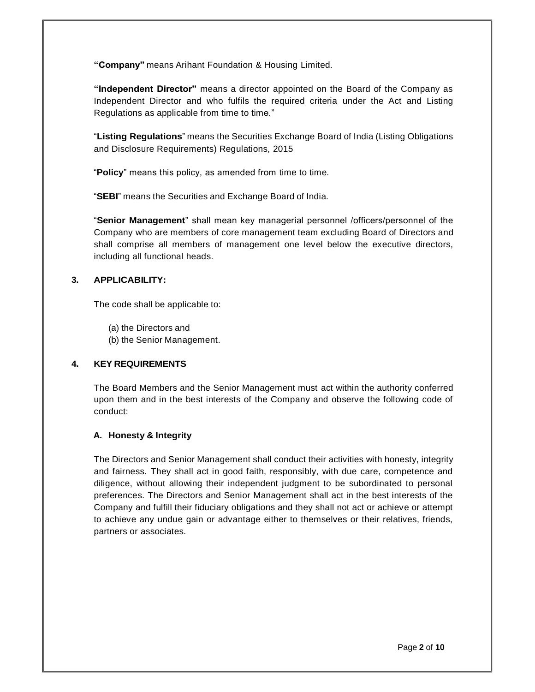**"Company"** means Arihant Foundation & Housing Limited.

**"Independent Director"** means a director appointed on the Board of the Company as Independent Director and who fulfils the required criteria under the Act and Listing Regulations as applicable from time to time."

"**Listing Regulations**" means the Securities Exchange Board of India (Listing Obligations and Disclosure Requirements) Regulations, 2015

"**Policy**" means this policy, as amended from time to time.

"**SEBI**" means the Securities and Exchange Board of India.

"**Senior Management**" shall mean key managerial personnel /officers/personnel of the Company who are members of core management team excluding Board of Directors and shall comprise all members of management one level below the executive directors, including all functional heads.

### **3. APPLICABILITY:**

The code shall be applicable to:

- (a) the Directors and
- (b) the Senior Management.

### **4. KEY REQUIREMENTS**

The Board Members and the Senior Management must act within the authority conferred upon them and in the best interests of the Company and observe the following code of conduct:

### **A. Honesty & Integrity**

The Directors and Senior Management shall conduct their activities with honesty, integrity and fairness. They shall act in good faith, responsibly, with due care, competence and diligence, without allowing their independent judgment to be subordinated to personal preferences. The Directors and Senior Management shall act in the best interests of the Company and fulfill their fiduciary obligations and they shall not act or achieve or attempt to achieve any undue gain or advantage either to themselves or their relatives, friends, partners or associates.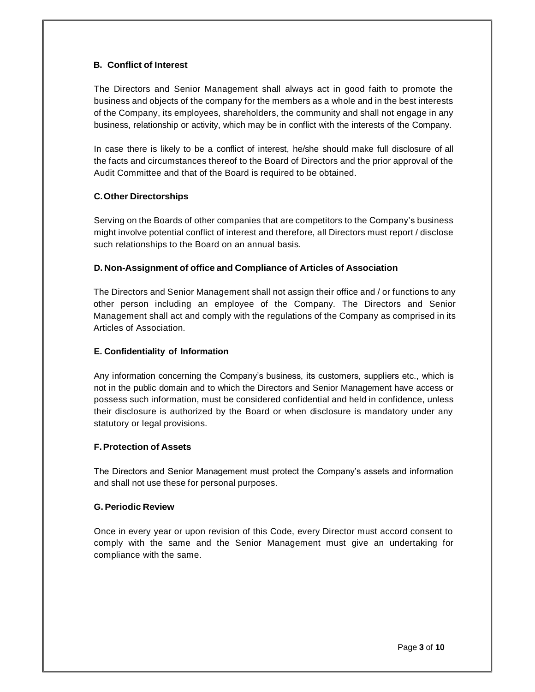## **B. Conflict of Interest**

The Directors and Senior Management shall always act in good faith to promote the business and objects of the company for the members as a whole and in the best interests of the Company, its employees, shareholders, the community and shall not engage in any business, relationship or activity, which may be in conflict with the interests of the Company.

In case there is likely to be a conflict of interest, he/she should make full disclosure of all the facts and circumstances thereof to the Board of Directors and the prior approval of the Audit Committee and that of the Board is required to be obtained.

## **C.Other Directorships**

Serving on the Boards of other companies that are competitors to the Company's business might involve potential conflict of interest and therefore, all Directors must report / disclose such relationships to the Board on an annual basis.

### **D. Non-Assignment of office and Compliance of Articles of Association**

The Directors and Senior Management shall not assign their office and / or functions to any other person including an employee of the Company. The Directors and Senior Management shall act and comply with the regulations of the Company as comprised in its Articles of Association.

### **E. Confidentiality of Information**

Any information concerning the Company's business, its customers, suppliers etc., which is not in the public domain and to which the Directors and Senior Management have access or possess such information, must be considered confidential and held in confidence, unless their disclosure is authorized by the Board or when disclosure is mandatory under any statutory or legal provisions.

### **F.Protection of Assets**

The Directors and Senior Management must protect the Company's assets and information and shall not use these for personal purposes.

### **G. Periodic Review**

Once in every year or upon revision of this Code, every Director must accord consent to comply with the same and the Senior Management must give an undertaking for compliance with the same.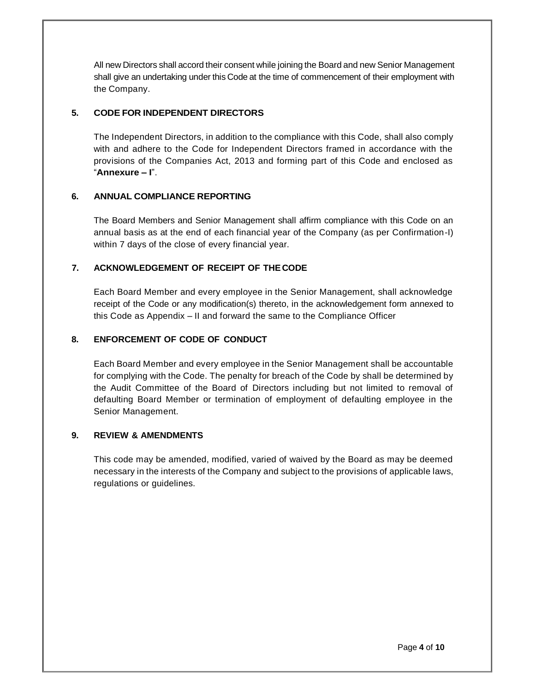All new Directors shall accord their consent while joining the Board and new Senior Management shall give an undertaking under this Code at the time of commencement of their employment with the Company.

### **5. CODE FOR INDEPENDENT DIRECTORS**

The Independent Directors, in addition to the compliance with this Code, shall also comply with and adhere to the Code for Independent Directors framed in accordance with the provisions of the Companies Act, 2013 and forming part of this Code and enclosed as "**Annexure – I**".

## **6. ANNUAL COMPLIANCE REPORTING**

The Board Members and Senior Management shall affirm compliance with this Code on an annual basis as at the end of each financial year of the Company (as per Confirmation-I) within 7 days of the close of every financial year.

## **7. ACKNOWLEDGEMENT OF RECEIPT OF THECODE**

Each Board Member and every employee in the Senior Management, shall acknowledge receipt of the Code or any modification(s) thereto, in the acknowledgement form annexed to this Code as Appendix – II and forward the same to the Compliance Officer

## **8. ENFORCEMENT OF CODE OF CONDUCT**

Each Board Member and every employee in the Senior Management shall be accountable for complying with the Code. The penalty for breach of the Code by shall be determined by the Audit Committee of the Board of Directors including but not limited to removal of defaulting Board Member or termination of employment of defaulting employee in the Senior Management.

### **9. REVIEW & AMENDMENTS**

This code may be amended, modified, varied of waived by the Board as may be deemed necessary in the interests of the Company and subject to the provisions of applicable laws, regulations or guidelines.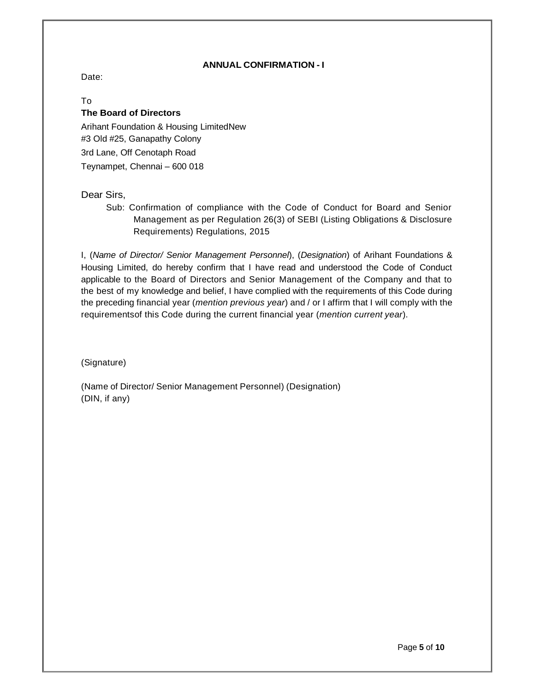### **ANNUAL CONFIRMATION - I**

Date:

### To **The Board of Directors**

Arihant Foundation & Housing LimitedNew #3 Old #25, Ganapathy Colony 3rd Lane, Off Cenotaph Road Teynampet, Chennai – 600 018

Dear Sirs,

Sub: Confirmation of compliance with the Code of Conduct for Board and Senior Management as per Regulation 26(3) of SEBI (Listing Obligations & Disclosure Requirements) Regulations, 2015

I, (*Name of Director/ Senior Management Personnel*), (*Designation*) of Arihant Foundations & Housing Limited, do hereby confirm that I have read and understood the Code of Conduct applicable to the Board of Directors and Senior Management of the Company and that to the best of my knowledge and belief, I have complied with the requirements of this Code during the preceding financial year (*mention previous year*) and / or I affirm that I will comply with the requirementsof this Code during the current financial year (*mention current year*).

(Signature)

(Name of Director/ Senior Management Personnel) (Designation) (DIN, if any)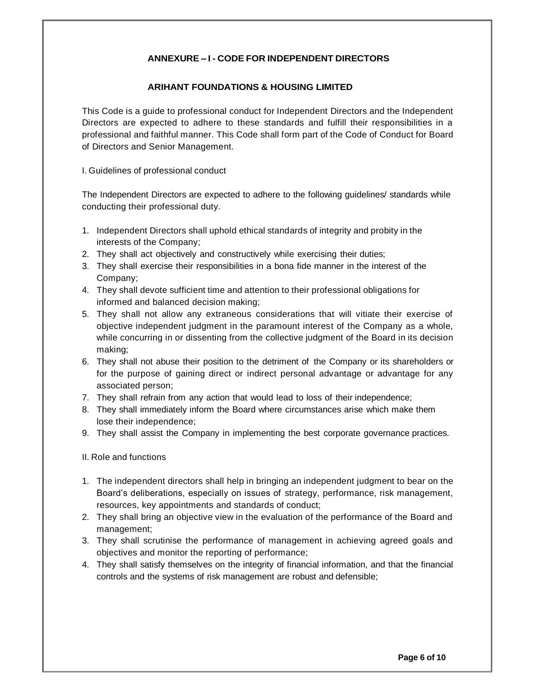# **ANNEXURE – I - CODE FOR INDEPENDENT DIRECTORS**

### **ARIHANT FOUNDATIONS & HOUSING LIMITED**

This Code is a guide to professional conduct for Independent Directors and the Independent Directors are expected to adhere to these standards and fulfill their responsibilities in a professional and faithful manner. This Code shall form part of the Code of Conduct for Board of Directors and Senior Management.

I. Guidelines of professional conduct

The Independent Directors are expected to adhere to the following guidelines/ standards while conducting their professional duty.

- 1. Independent Directors shall uphold ethical standards of integrity and probity in the interests of the Company;
- 2. They shall act objectively and constructively while exercising their duties;
- 3. They shall exercise their responsibilities in a bona fide manner in the interest of the Company;
- 4. They shall devote sufficient time and attention to their professional obligations for informed and balanced decision making;
- 5. They shall not allow any extraneous considerations that will vitiate their exercise of objective independent judgment in the paramount interest of the Company as a whole, while concurring in or dissenting from the collective judgment of the Board in its decision making;
- 6. They shall not abuse their position to the detriment of the Company or its shareholders or for the purpose of gaining direct or indirect personal advantage or advantage for any associated person;
- 7. They shall refrain from any action that would lead to loss of their independence;
- 8. They shall immediately inform the Board where circumstances arise which make them lose their independence;
- 9. They shall assist the Company in implementing the best corporate governance practices.

II. Role and functions

- 1. The independent directors shall help in bringing an independent judgment to bear on the Board's deliberations, especially on issues of strategy, performance, risk management, resources, key appointments and standards of conduct;
- 2. They shall bring an objective view in the evaluation of the performance of the Board and management;
- 3. They shall scrutinise the performance of management in achieving agreed goals and objectives and monitor the reporting of performance;
- 4. They shall satisfy themselves on the integrity of financial information, and that the financial controls and the systems of risk management are robust and defensible;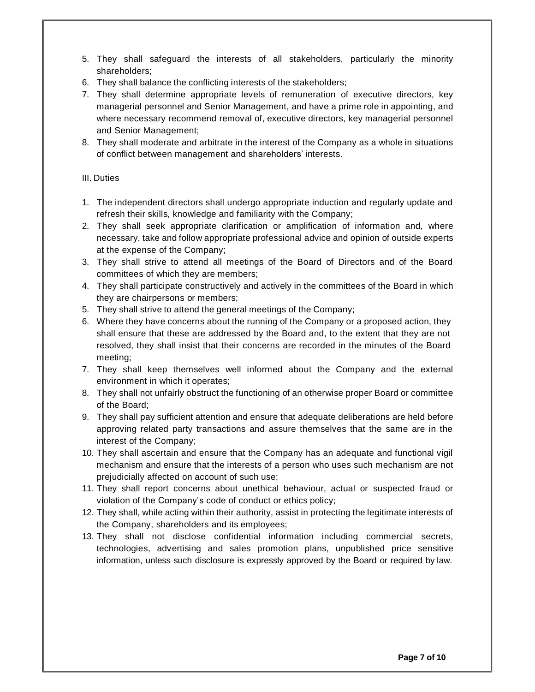- 5. They shall safeguard the interests of all stakeholders, particularly the minority shareholders;
- 6. They shall balance the conflicting interests of the stakeholders;
- 7. They shall determine appropriate levels of remuneration of executive directors, key managerial personnel and Senior Management, and have a prime role in appointing, and where necessary recommend removal of, executive directors, key managerial personnel and Senior Management;
- 8. They shall moderate and arbitrate in the interest of the Company as a whole in situations of conflict between management and shareholders' interests.

# III. Duties

- 1. The independent directors shall undergo appropriate induction and regularly update and refresh their skills, knowledge and familiarity with the Company;
- 2. They shall seek appropriate clarification or amplification of information and, where necessary, take and follow appropriate professional advice and opinion of outside experts at the expense of the Company;
- 3. They shall strive to attend all meetings of the Board of Directors and of the Board committees of which they are members;
- 4. They shall participate constructively and actively in the committees of the Board in which they are chairpersons or members;
- 5. They shall strive to attend the general meetings of the Company;
- 6. Where they have concerns about the running of the Company or a proposed action, they shall ensure that these are addressed by the Board and, to the extent that they are not resolved, they shall insist that their concerns are recorded in the minutes of the Board meeting;
- 7. They shall keep themselves well informed about the Company and the external environment in which it operates;
- 8. They shall not unfairly obstruct the functioning of an otherwise proper Board or committee of the Board;
- 9. They shall pay sufficient attention and ensure that adequate deliberations are held before approving related party transactions and assure themselves that the same are in the interest of the Company;
- 10. They shall ascertain and ensure that the Company has an adequate and functional vigil mechanism and ensure that the interests of a person who uses such mechanism are not prejudicially affected on account of such use;
- 11. They shall report concerns about unethical behaviour, actual or suspected fraud or violation of the Company's code of conduct or ethics policy;
- 12. They shall, while acting within their authority, assist in protecting the legitimate interests of the Company, shareholders and its employees;
- 13. They shall not disclose confidential information including commercial secrets, technologies, advertising and sales promotion plans, unpublished price sensitive information, unless such disclosure is expressly approved by the Board or required by law.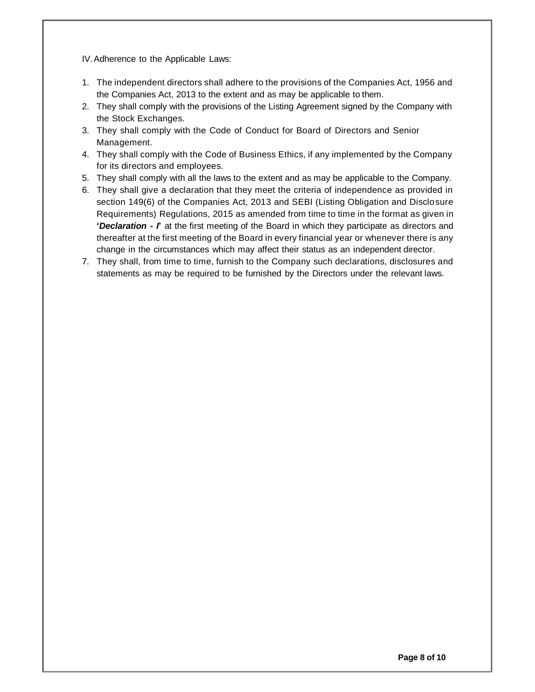IV.Adherence to the Applicable Laws:

- 1. The independent directors shall adhere to the provisions of the Companies Act, 1956 and the Companies Act, 2013 to the extent and as may be applicable to them.
- 2. They shall comply with the provisions of the Listing Agreement signed by the Company with the Stock Exchanges.
- 3. They shall comply with the Code of Conduct for Board of Directors and Senior Management.
- 4. They shall comply with the Code of Business Ethics, if any implemented by the Company for its directors and employees.
- 5. They shall comply with all the laws to the extent and as may be applicable to the Company.
- 6. They shall give a declaration that they meet the criteria of independence as provided in section 149(6) of the Companies Act, 2013 and SEBI (Listing Obligation and Disclosure Requirements) Regulations, 2015 as amended from time to time in the format as given in **'***Declaration - I***'** at the first meeting of the Board in which they participate as directors and thereafter at the first meeting of the Board in every financial year or whenever there is any change in the circumstances which may affect their status as an independent director.
- 7. They shall, from time to time, furnish to the Company such declarations, disclosures and statements as may be required to be furnished by the Directors under the relevant laws.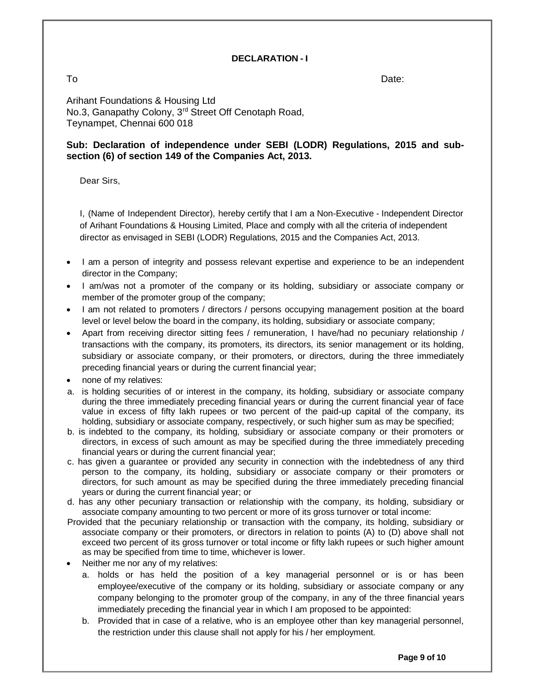### **DECLARATION - I**

To Date:

Arihant Foundations & Housing Ltd No.3, Ganapathy Colony, 3rd Street Off Cenotaph Road, Teynampet, Chennai 600 018

# **Sub: Declaration of independence under SEBI (LODR) Regulations, 2015 and subsection (6) of section 149 of the Companies Act, 2013.**

Dear Sirs,

I, (Name of Independent Director), hereby certify that I am a Non-Executive - Independent Director of Arihant Foundations & Housing Limited, Place and comply with all the criteria of independent director as envisaged in SEBI (LODR) Regulations, 2015 and the Companies Act, 2013.

- I am a person of integrity and possess relevant expertise and experience to be an independent director in the Company;
- I am/was not a promoter of the company or its holding, subsidiary or associate company or member of the promoter group of the company;
- I am not related to promoters / directors / persons occupying management position at the board level or level below the board in the company, its holding, subsidiary or associate company;
- Apart from receiving director sitting fees / remuneration, I have/had no pecuniary relationship / transactions with the company, its promoters, its directors, its senior management or its holding, subsidiary or associate company, or their promoters, or directors, during the three immediately preceding financial years or during the current financial year;
- none of my relatives:
- a. is holding securities of or interest in the company, its holding, subsidiary or associate company during the three immediately preceding financial years or during the current financial year of face value in excess of fifty lakh rupees or two percent of the paid-up capital of the company, its holding, subsidiary or associate company, respectively, or such higher sum as may be specified;
- b. is indebted to the company, its holding, subsidiary or associate company or their promoters or directors, in excess of such amount as may be specified during the three immediately preceding financial years or during the current financial year;
- c. has given a guarantee or provided any security in connection with the indebtedness of any third person to the company, its holding, subsidiary or associate company or their promoters or directors, for such amount as may be specified during the three immediately preceding financial years or during the current financial year; or
- d. has any other pecuniary transaction or relationship with the company, its holding, subsidiary or associate company amounting to two percent or more of its gross turnover or total income:
- Provided that the pecuniary relationship or transaction with the company, its holding, subsidiary or associate company or their promoters, or directors in relation to points (A) to (D) above shall not exceed two percent of its gross turnover or total income or fifty lakh rupees or such higher amount as may be specified from time to time, whichever is lower.
- Neither me nor any of my relatives:
	- a. holds or has held the position of a key managerial personnel or is or has been employee/executive of the company or its holding, subsidiary or associate company or any company belonging to the promoter group of the company, in any of the three financial years immediately preceding the financial year in which I am proposed to be appointed:
	- b. Provided that in case of a relative, who is an employee other than key managerial personnel, the restriction under this clause shall not apply for his / her employment.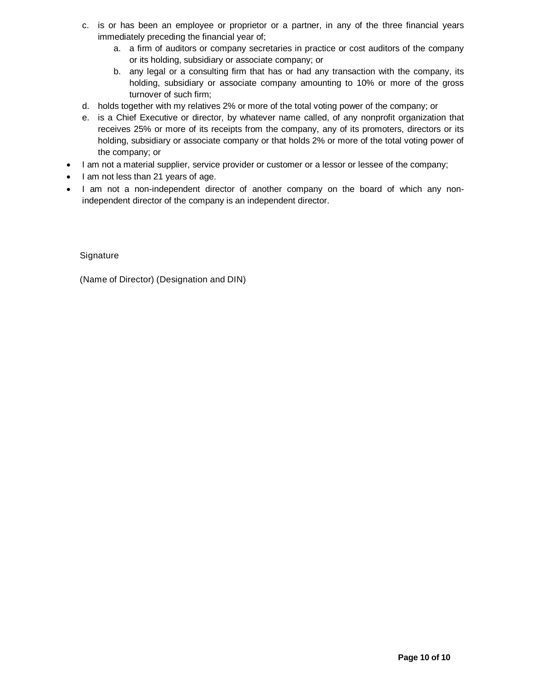- c. is or has been an employee or proprietor or a partner, in any of the three financial years immediately preceding the financial year of;
	- a. a firm of auditors or company secretaries in practice or cost auditors of the company or its holding, subsidiary or associate company; or
	- b. any legal or a consulting firm that has or had any transaction with the company, its holding, subsidiary or associate company amounting to 10% or more of the gross turnover of such firm;
- d. holds together with my relatives 2% or more of the total voting power of the company; or
- e. is a Chief Executive or director, by whatever name called, of any nonprofit organization that receives 25% or more of its receipts from the company, any of its promoters, directors or its holding, subsidiary or associate company or that holds 2% or more of the total voting power of the company; or
- I am not a material supplier, service provider or customer or a lessor or lessee of the company;
- I am not less than 21 years of age.
- I am not a non-independent director of another company on the board of which any nonindependent director of the company is an independent director.

Signature

(Name of Director) (Designation and DIN)